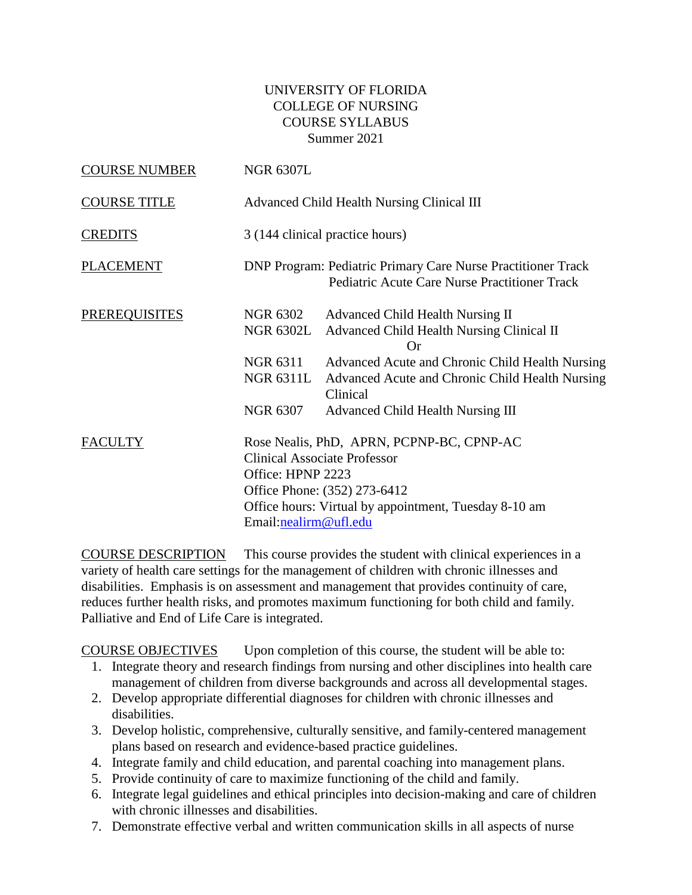## UNIVERSITY OF FLORIDA COLLEGE OF NURSING COURSE SYLLABUS Summer 2021

| <b>COURSE NUMBER</b> | <b>NGR 6307L</b>                           |                                                                                                                                                                           |  |  |
|----------------------|--------------------------------------------|---------------------------------------------------------------------------------------------------------------------------------------------------------------------------|--|--|
| <b>COURSE TITLE</b>  |                                            | Advanced Child Health Nursing Clinical III                                                                                                                                |  |  |
| <b>CREDITS</b>       |                                            | 3 (144 clinical practice hours)                                                                                                                                           |  |  |
| <b>PLACEMENT</b>     |                                            | DNP Program: Pediatric Primary Care Nurse Practitioner Track<br><b>Pediatric Acute Care Nurse Practitioner Track</b>                                                      |  |  |
| <b>PREREQUISITES</b> | NGR 6302<br><b>NGR 6302L</b>               | Advanced Child Health Nursing II<br>Advanced Child Health Nursing Clinical II<br>Or                                                                                       |  |  |
|                      | NGR 6311<br><b>NGR 6311L</b>               | Advanced Acute and Chronic Child Health Nursing<br>Advanced Acute and Chronic Child Health Nursing<br>Clinical                                                            |  |  |
|                      | NGR 6307                                   | Advanced Child Health Nursing III                                                                                                                                         |  |  |
| <b>FACULTY</b>       | Office: HPNP 2223<br>Email:nealirm@ufl.edu | Rose Nealis, PhD, APRN, PCPNP-BC, CPNP-AC<br><b>Clinical Associate Professor</b><br>Office Phone: (352) 273-6412<br>Office hours: Virtual by appointment, Tuesday 8-10 am |  |  |

COURSE DESCRIPTION This course provides the student with clinical experiences in a variety of health care settings for the management of children with chronic illnesses and disabilities. Emphasis is on assessment and management that provides continuity of care, reduces further health risks, and promotes maximum functioning for both child and family. Palliative and End of Life Care is integrated.

COURSE OBJECTIVES Upon completion of this course, the student will be able to:

- 1. Integrate theory and research findings from nursing and other disciplines into health care management of children from diverse backgrounds and across all developmental stages.
- 2. Develop appropriate differential diagnoses for children with chronic illnesses and disabilities.
- 3. Develop holistic, comprehensive, culturally sensitive, and family-centered management plans based on research and evidence-based practice guidelines.
- 4. Integrate family and child education, and parental coaching into management plans.
- 5. Provide continuity of care to maximize functioning of the child and family.
- 6. Integrate legal guidelines and ethical principles into decision-making and care of children with chronic illnesses and disabilities.
- 7. Demonstrate effective verbal and written communication skills in all aspects of nurse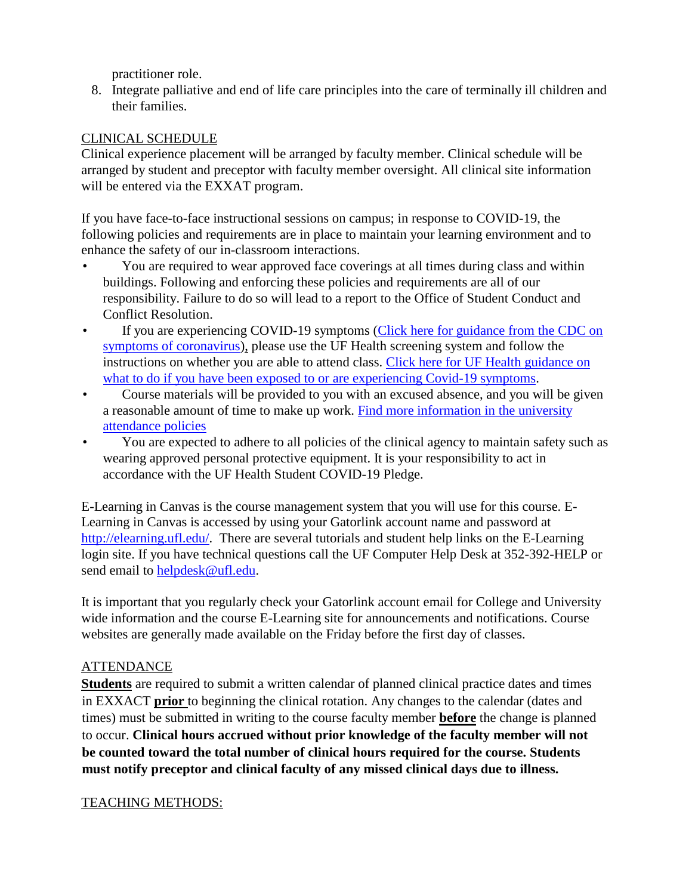practitioner role.

8. Integrate palliative and end of life care principles into the care of terminally ill children and their families.

## CLINICAL SCHEDULE

Clinical experience placement will be arranged by faculty member. Clinical schedule will be arranged by student and preceptor with faculty member oversight. All clinical site information will be entered via the EXXAT program.

If you have face-to-face instructional sessions on campus; in response to COVID-19, the following policies and requirements are in place to maintain your learning environment and to enhance the safety of our in-classroom interactions.

- You are required to wear approved face coverings at all times during class and within buildings. Following and enforcing these policies and requirements are all of our responsibility. Failure to do so will lead to a report to the Office of Student Conduct and Conflict Resolution.
- If you are experiencing COVID-19 symptoms (Click here for guidance from the CDC on [symptoms of coronavirus\)](https://www.cdc.gov/coronavirus/2019-ncov/symptoms-testing/symptoms.html), please use the UF Health screening system and follow the instructions on whether you are able to attend class. [Click here for UF Health guidance on](https://coronavirus.ufhealth.org/screen-test-protect/covid-19-exposure-and-symptoms-who-do-i-call-if/)  [what to do if you have been exposed to or are experiencing Covid-19 symptoms.](https://coronavirus.ufhealth.org/screen-test-protect/covid-19-exposure-and-symptoms-who-do-i-call-if/)
- Course materials will be provided to you with an excused absence, and you will be given a reasonable amount of time to make up work. [Find more information in the university](https://catalog.ufl.edu/UGRD/academic-regulations/attendance-policies/)  [attendance policies](https://catalog.ufl.edu/UGRD/academic-regulations/attendance-policies/)
- You are expected to adhere to all policies of the clinical agency to maintain safety such as wearing approved personal protective equipment. It is your responsibility to act in accordance with the UF Health Student COVID-19 Pledge.

E-Learning in Canvas is the course management system that you will use for this course. E-Learning in Canvas is accessed by using your Gatorlink account name and password at [http://elearning.ufl.edu/.](http://elearning.ufl.edu/) There are several tutorials and student help links on the E-Learning login site. If you have technical questions call the UF Computer Help Desk at 352-392-HELP or send email to [helpdesk@ufl.edu.](mailto:helpdesk@ufl.edu)

It is important that you regularly check your Gatorlink account email for College and University wide information and the course E-Learning site for announcements and notifications. Course websites are generally made available on the Friday before the first day of classes.

## ATTENDANCE

**Students** are required to submit a written calendar of planned clinical practice dates and times in EXXACT **prior** to beginning the clinical rotation. Any changes to the calendar (dates and times) must be submitted in writing to the course faculty member **before** the change is planned to occur. **Clinical hours accrued without prior knowledge of the faculty member will not be counted toward the total number of clinical hours required for the course. Students must notify preceptor and clinical faculty of any missed clinical days due to illness.**

## TEACHING METHODS: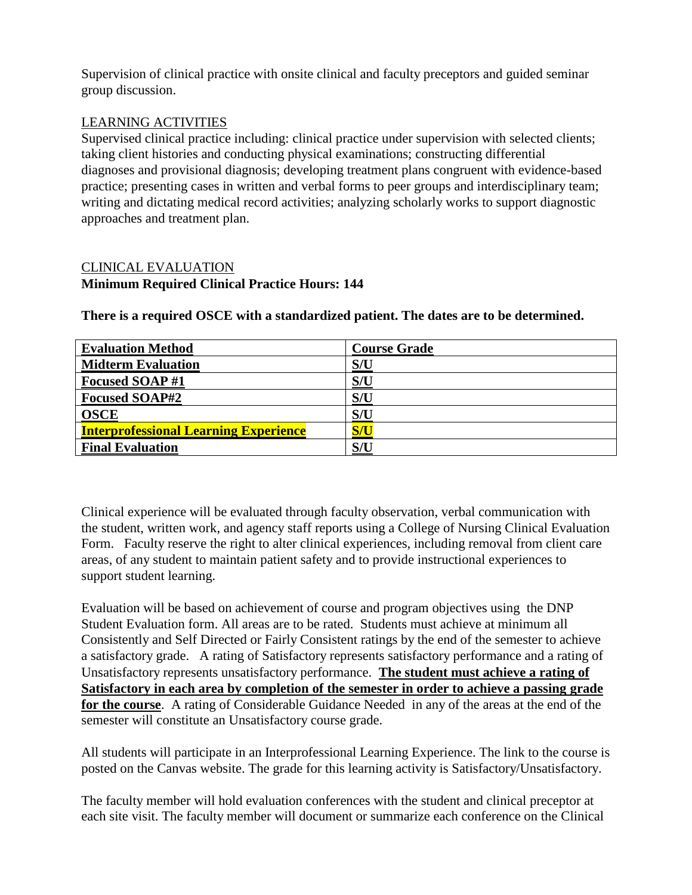Supervision of clinical practice with onsite clinical and faculty preceptors and guided seminar group discussion.

# LEARNING ACTIVITIES

Supervised clinical practice including: clinical practice under supervision with selected clients; taking client histories and conducting physical examinations; constructing differential diagnoses and provisional diagnosis; developing treatment plans congruent with evidence-based practice; presenting cases in written and verbal forms to peer groups and interdisciplinary team; writing and dictating medical record activities; analyzing scholarly works to support diagnostic approaches and treatment plan.

# CLINICAL EVALUATION **Minimum Required Clinical Practice Hours: 144**

| <b>Evaluation Method</b>                     | <b>Course Grade</b> |
|----------------------------------------------|---------------------|
| <b>Midterm Evaluation</b>                    | S/U                 |
| <b>Focused SOAP#1</b>                        | S/U                 |
| <b>Focused SOAP#2</b>                        | S/U                 |
| <b>OSCE</b>                                  | S/U                 |
| <b>Interprofessional Learning Experience</b> | S/U                 |
| <b>Final Evaluation</b>                      | S/U                 |

**There is a required OSCE with a standardized patient. The dates are to be determined.**

Clinical experience will be evaluated through faculty observation, verbal communication with the student, written work, and agency staff reports using a College of Nursing Clinical Evaluation Form. Faculty reserve the right to alter clinical experiences, including removal from client care areas, of any student to maintain patient safety and to provide instructional experiences to support student learning.

Evaluation will be based on achievement of course and program objectives using the DNP Student Evaluation form. All areas are to be rated. Students must achieve at minimum all Consistently and Self Directed or Fairly Consistent ratings by the end of the semester to achieve a satisfactory grade. A rating of Satisfactory represents satisfactory performance and a rating of Unsatisfactory represents unsatisfactory performance. **The student must achieve a rating of Satisfactory in each area by completion of the semester in order to achieve a passing grade for the course**. A rating of Considerable Guidance Needed in any of the areas at the end of the semester will constitute an Unsatisfactory course grade.

All students will participate in an Interprofessional Learning Experience. The link to the course is posted on the Canvas website. The grade for this learning activity is Satisfactory/Unsatisfactory.

The faculty member will hold evaluation conferences with the student and clinical preceptor at each site visit. The faculty member will document or summarize each conference on the Clinical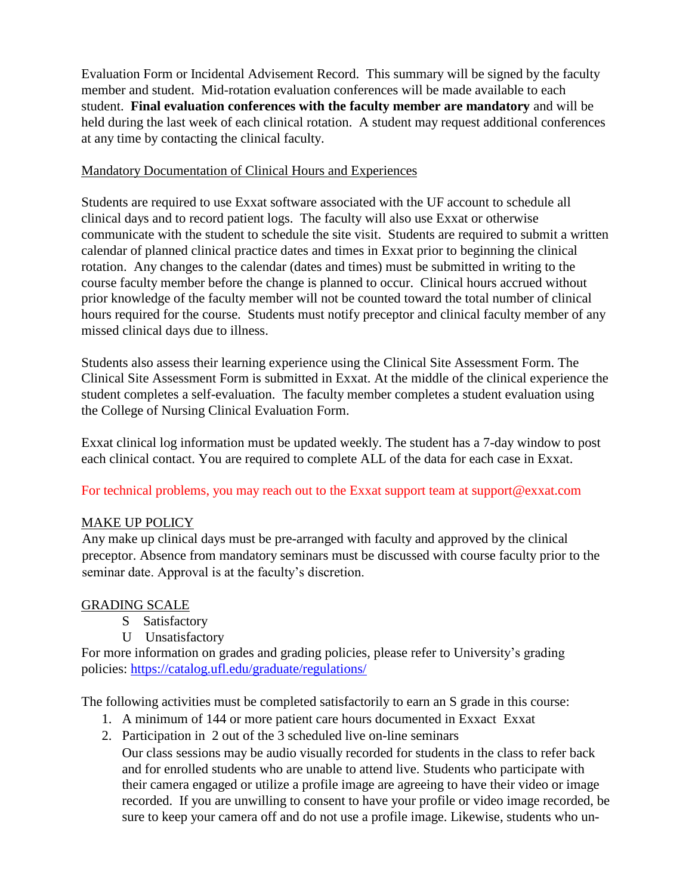Evaluation Form or Incidental Advisement Record. This summary will be signed by the faculty member and student. Mid-rotation evaluation conferences will be made available to each student. **Final evaluation conferences with the faculty member are mandatory** and will be held during the last week of each clinical rotation. A student may request additional conferences at any time by contacting the clinical faculty.

### Mandatory Documentation of Clinical Hours and Experiences

Students are required to use Exxat software associated with the UF account to schedule all clinical days and to record patient logs. The faculty will also use Exxat or otherwise communicate with the student to schedule the site visit. Students are required to submit a written calendar of planned clinical practice dates and times in Exxat prior to beginning the clinical rotation. Any changes to the calendar (dates and times) must be submitted in writing to the course faculty member before the change is planned to occur. Clinical hours accrued without prior knowledge of the faculty member will not be counted toward the total number of clinical hours required for the course. Students must notify preceptor and clinical faculty member of any missed clinical days due to illness.

Students also assess their learning experience using the Clinical Site Assessment Form. The Clinical Site Assessment Form is submitted in Exxat. At the middle of the clinical experience the student completes a self-evaluation. The faculty member completes a student evaluation using the College of Nursing Clinical Evaluation Form.

Exxat clinical log information must be updated weekly. The student has a 7-day window to post each clinical contact. You are required to complete ALL of the data for each case in Exxat.

## For technical problems, you may reach out to the Exxat support team at support@exxat.com

## MAKE UP POLICY

Any make up clinical days must be pre-arranged with faculty and approved by the clinical preceptor. Absence from mandatory seminars must be discussed with course faculty prior to the seminar date. Approval is at the faculty's discretion.

#### GRADING SCALE

- S Satisfactory
- U Unsatisfactory

For more information on grades and grading policies, please refer to University's grading policies:<https://catalog.ufl.edu/graduate/regulations/>

The following activities must be completed satisfactorily to earn an S grade in this course:

- 1. A minimum of 144 or more patient care hours documented in Exxact Exxat
- 2. Participation in 2 out of the 3 scheduled live on-line seminars

Our class sessions may be audio visually recorded for students in the class to refer back and for enrolled students who are unable to attend live. Students who participate with their camera engaged or utilize a profile image are agreeing to have their video or image recorded. If you are unwilling to consent to have your profile or video image recorded, be sure to keep your camera off and do not use a profile image. Likewise, students who un-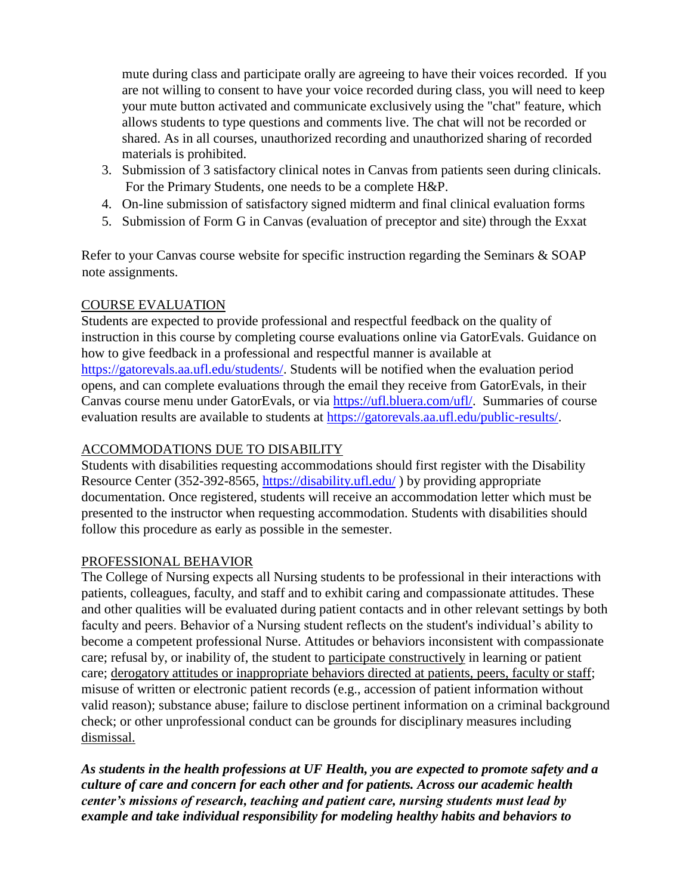mute during class and participate orally are agreeing to have their voices recorded. If you are not willing to consent to have your voice recorded during class, you will need to keep your mute button activated and communicate exclusively using the "chat" feature, which allows students to type questions and comments live. The chat will not be recorded or shared. As in all courses, unauthorized recording and unauthorized sharing of recorded materials is prohibited.

- 3. Submission of 3 satisfactory clinical notes in Canvas from patients seen during clinicals. For the Primary Students, one needs to be a complete H&P.
- 4. On-line submission of satisfactory signed midterm and final clinical evaluation forms
- 5. Submission of Form G in Canvas (evaluation of preceptor and site) through the Exxat

Refer to your Canvas course website for specific instruction regarding the Seminars & SOAP note assignments.

## COURSE EVALUATION

Students are expected to provide professional and respectful feedback on the quality of instruction in this course by completing course evaluations online via GatorEvals. Guidance on how to give feedback in a professional and respectful manner is available at [https://gatorevals.aa.ufl.edu/students/.](https://gatorevals.aa.ufl.edu/students/) Students will be notified when the evaluation period opens, and can complete evaluations through the email they receive from GatorEvals, in their Canvas course menu under GatorEvals, or via [https://ufl.bluera.com/ufl/.](https://ufl.bluera.com/ufl/) Summaries of course evaluation results are available to students at [https://gatorevals.aa.ufl.edu/public-results/.](https://gatorevals.aa.ufl.edu/public-results/)

## ACCOMMODATIONS DUE TO DISABILITY

Students with disabilities requesting accommodations should first register with the Disability Resource Center (352-392-8565,<https://disability.ufl.edu/> ) by providing appropriate documentation. Once registered, students will receive an accommodation letter which must be presented to the instructor when requesting accommodation. Students with disabilities should follow this procedure as early as possible in the semester.

## PROFESSIONAL BEHAVIOR

The College of Nursing expects all Nursing students to be professional in their interactions with patients, colleagues, faculty, and staff and to exhibit caring and compassionate attitudes. These and other qualities will be evaluated during patient contacts and in other relevant settings by both faculty and peers. Behavior of a Nursing student reflects on the student's individual's ability to become a competent professional Nurse. Attitudes or behaviors inconsistent with compassionate care; refusal by, or inability of, the student to participate constructively in learning or patient care; derogatory attitudes or inappropriate behaviors directed at patients, peers, faculty or staff; misuse of written or electronic patient records (e.g., accession of patient information without valid reason); substance abuse; failure to disclose pertinent information on a criminal background check; or other unprofessional conduct can be grounds for disciplinary measures including dismissal.

*As students in the health professions at UF Health, you are expected to promote safety and a culture of care and concern for each other and for patients. Across our academic health center's missions of research, teaching and patient care, nursing students must lead by example and take individual responsibility for modeling healthy habits and behaviors to*